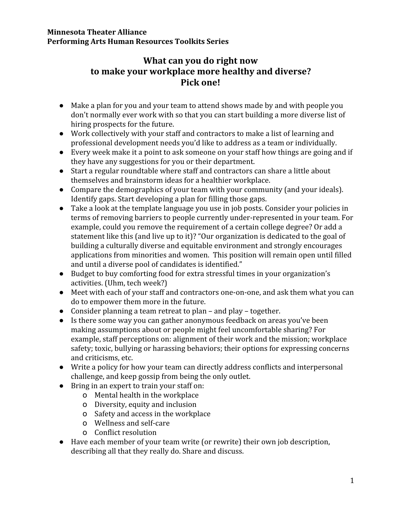### **Minnesota Theater Alliance Performing Arts Human Resources Toolkits Series**

# **What can you do right now to make your workplace more healthy and diverse? Pick one!**

- Make a plan for you and your team to attend shows made by and with people you don't normally ever work with so that you can start building a more diverse list of hiring prospects for the future.
- Work collectively with your staff and contractors to make a list of learning and professional development needs you'd like to address as a team or individually.
- Every week make it a point to ask someone on your staff how things are going and if they have any suggestions for you or their department.
- Start a regular roundtable where staff and contractors can share a little about themselves and brainstorm ideas for a healthier workplace.
- Compare the demographics of your team with your community (and your ideals). Identify gaps. Start developing a plan for filling those gaps.
- Take a look at the template language you use in job posts. Consider your policies in terms of removing barriers to people currently under-represented in your team. For example, could you remove the requirement of a certain college degree? Or add a statement like this (and live up to it)? "Our organization is dedicated to the goal of building a culturally diverse and equitable environment and strongly encourages applications from minorities and women. This position will remain open until filled and until a diverse pool of candidates is identified."
- Budget to buy comforting food for extra stressful times in your organization's activities. (Uhm, tech week?)
- Meet with each of your staff and contractors one-on-one, and ask them what you can do to empower them more in the future.
- Consider planning a team retreat to plan and play together.
- Is there some way you can gather anonymous feedback on areas you've been making assumptions about or people might feel uncomfortable sharing? For example, staff perceptions on: alignment of their work and the mission; workplace safety; toxic, bullying or harassing behaviors; their options for expressing concerns and criticisms, etc.
- Write a policy for how your team can directly address conflicts and interpersonal challenge, and keep gossip from being the only outlet.
- Bring in an expert to train your staff on:
	- o Mental health in the workplace
	- o Diversity, equity and inclusion
	- o Safety and access in the workplace
	- o Wellness and self-care
	- o Conflict resolution
- Have each member of your team write (or rewrite) their own job description, describing all that they really do. Share and discuss.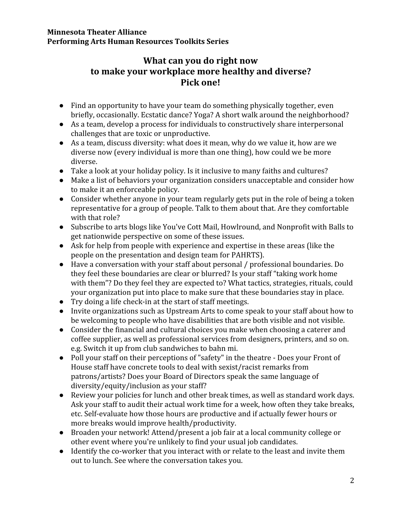### **Minnesota Theater Alliance Performing Arts Human Resources Toolkits Series**

# **What can you do right now to make your workplace more healthy and diverse? Pick one!**

- Find an opportunity to have your team do something physically together, even briefly, occasionally. Ecstatic dance? Yoga? A short walk around the neighborhood?
- As a team, develop a process for individuals to constructively share interpersonal challenges that are toxic or unproductive.
- As a team, discuss diversity: what does it mean, why do we value it, how are we diverse now (every individual is more than one thing), how could we be more diverse.
- Take a look at your holiday policy. Is it inclusive to many faiths and cultures?
- Make a list of behaviors your organization considers unacceptable and consider how to make it an enforceable policy.
- Consider whether anyone in your team regularly gets put in the role of being a token representative for a group of people. Talk to them about that. Are they comfortable with that role?
- Subscribe to arts blogs like You've Cott Mail, Howlround, and Nonprofit with Balls to get nationwide perspective on some of these issues.
- Ask for help from people with experience and expertise in these areas (like the people on the presentation and design team for PAHRTS).
- Have a conversation with your staff about personal / professional boundaries. Do they feel these boundaries are clear or blurred? Is your staff "taking work home with them"? Do they feel they are expected to? What tactics, strategies, rituals, could your organization put into place to make sure that these boundaries stay in place.
- $\bullet$  Try doing a life check-in at the start of staff meetings.
- Invite organizations such as Upstream Arts to come speak to your staff about how to be welcoming to people who have disabilities that are both visible and not visible.
- Consider the financial and cultural choices you make when choosing a caterer and coffee supplier, as well as professional services from designers, printers, and so on. e.g. Switch it up from club sandwiches to bahn mi.
- Poll your staff on their perceptions of "safety" in the theatre Does your Front of House staff have concrete tools to deal with sexist/racist remarks from patrons/artists? Does your Board of Directors speak the same language of diversity/equity/inclusion as your staff?
- Review your policies for lunch and other break times, as well as standard work days. Ask your staff to audit their actual work time for a week, how often they take breaks, etc. Self-evaluate how those hours are productive and if actually fewer hours or more breaks would improve health/productivity.
- Broaden your network! Attend/present a job fair at a local community college or other event where you're unlikely to find your usual job candidates.
- Identify the co-worker that you interact with or relate to the least and invite them out to lunch. See where the conversation takes you.